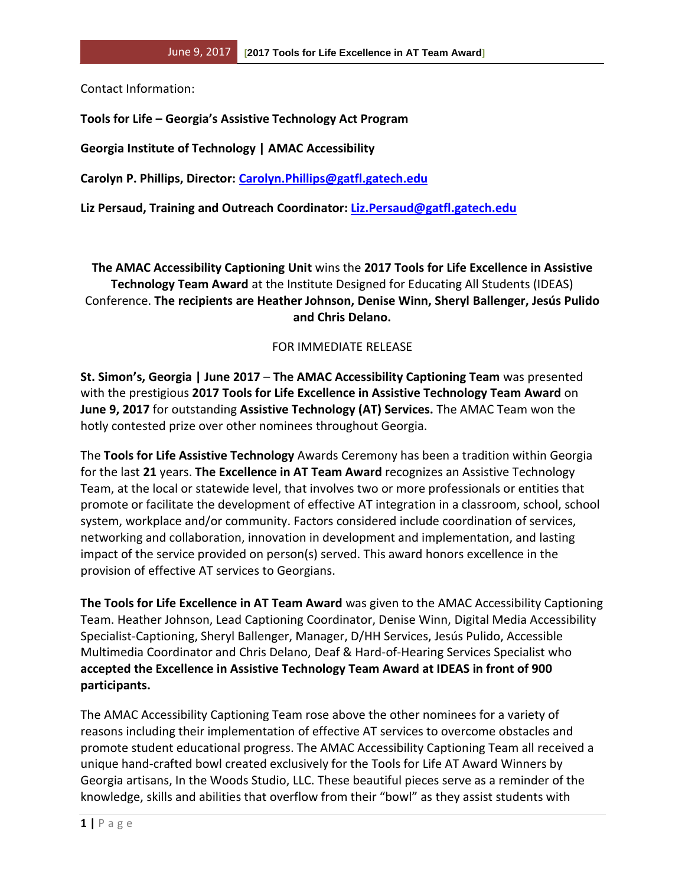Contact Information:

**Tools for Life – Georgia's Assistive Technology Act Program**

**Georgia Institute of Technology | AMAC Accessibility**

**Carolyn P. Phillips, Director: [Carolyn.Phillips@gatfl.gatech.edu](mailto:Carolyn.Phillips@gatfl.gatech.edu)**

**Liz Persaud, Training and Outreach Coordinator: [Liz.Persaud@gatfl.gatech.edu](mailto:Liz.Persaud@gatfl.gatech.edu)**

**The AMAC Accessibility Captioning Unit** wins the **2017 Tools for Life Excellence in Assistive Technology Team Award** at the Institute Designed for Educating All Students (IDEAS) Conference. **The recipients are Heather Johnson, Denise Winn, Sheryl Ballenger, Jesús Pulido and Chris Delano.**

## FOR IMMEDIATE RELEASE

**St. Simon's, Georgia | June 2017** – **The AMAC Accessibility Captioning Team** was presented with the prestigious **2017 Tools for Life Excellence in Assistive Technology Team Award** on **June 9, 2017** for outstanding **Assistive Technology (AT) Services.** The AMAC Team won the hotly contested prize over other nominees throughout Georgia.

The **Tools for Life Assistive Technology** Awards Ceremony has been a tradition within Georgia for the last **21** years. **The Excellence in AT Team Award** recognizes an Assistive Technology Team, at the local or statewide level, that involves two or more professionals or entities that promote or facilitate the development of effective AT integration in a classroom, school, school system, workplace and/or community. Factors considered include coordination of services, networking and collaboration, innovation in development and implementation, and lasting impact of the service provided on person(s) served. This award honors excellence in the provision of effective AT services to Georgians.

**The Tools for Life Excellence in AT Team Award** was given to the AMAC Accessibility Captioning Team. Heather Johnson, Lead Captioning Coordinator, Denise Winn, Digital Media Accessibility Specialist-Captioning, Sheryl Ballenger, Manager, D/HH Services, Jesús Pulido, Accessible Multimedia Coordinator and Chris Delano, Deaf & Hard-of-Hearing Services Specialist who **accepted the Excellence in Assistive Technology Team Award at IDEAS in front of 900 participants.**

The AMAC Accessibility Captioning Team rose above the other nominees for a variety of reasons including their implementation of effective AT services to overcome obstacles and promote student educational progress. The AMAC Accessibility Captioning Team all received a unique hand-crafted bowl created exclusively for the Tools for Life AT Award Winners by Georgia artisans, In the Woods Studio, LLC. These beautiful pieces serve as a reminder of the knowledge, skills and abilities that overflow from their "bowl" as they assist students with